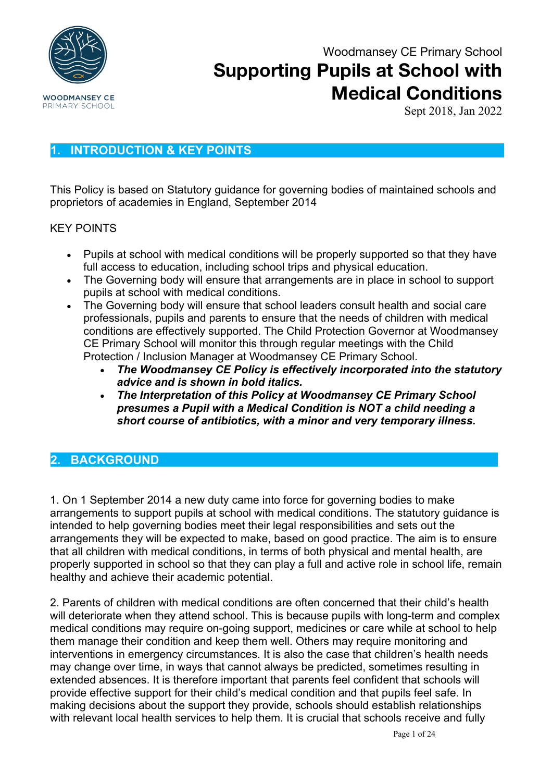

Sept 2018, Jan 2022

### **1. INTRODUCTION & KEY POINTS**

This Policy is based on Statutory guidance for governing bodies of maintained schools and proprietors of academies in England, September 2014

#### KEY POINTS

- Pupils at school with medical conditions will be properly supported so that they have full access to education, including school trips and physical education.
- The Governing body will ensure that arrangements are in place in school to support pupils at school with medical conditions.
- The Governing body will ensure that school leaders consult health and social care professionals, pupils and parents to ensure that the needs of children with medical conditions are effectively supported. The Child Protection Governor at Woodmansey CE Primary School will monitor this through regular meetings with the Child Protection / Inclusion Manager at Woodmansey CE Primary School.
	- *The Woodmansey CE Policy is effectively incorporated into the statutory advice and is shown in bold italics.*
	- *The Interpretation of this Policy at Woodmansey CE Primary School presumes a Pupil with a Medical Condition is NOT a child needing a short course of antibiotics, with a minor and very temporary illness.*

### **2. BACKGROUND**

1. On 1 September 2014 a new duty came into force for governing bodies to make arrangements to support pupils at school with medical conditions. The statutory guidance is intended to help governing bodies meet their legal responsibilities and sets out the arrangements they will be expected to make, based on good practice. The aim is to ensure that all children with medical conditions, in terms of both physical and mental health, are properly supported in school so that they can play a full and active role in school life, remain healthy and achieve their academic potential.

2. Parents of children with medical conditions are often concerned that their child's health will deteriorate when they attend school. This is because pupils with long-term and complex medical conditions may require on-going support, medicines or care while at school to help them manage their condition and keep them well. Others may require monitoring and interventions in emergency circumstances. It is also the case that children's health needs may change over time, in ways that cannot always be predicted, sometimes resulting in extended absences. It is therefore important that parents feel confident that schools will provide effective support for their child's medical condition and that pupils feel safe. In making decisions about the support they provide, schools should establish relationships with relevant local health services to help them. It is crucial that schools receive and fully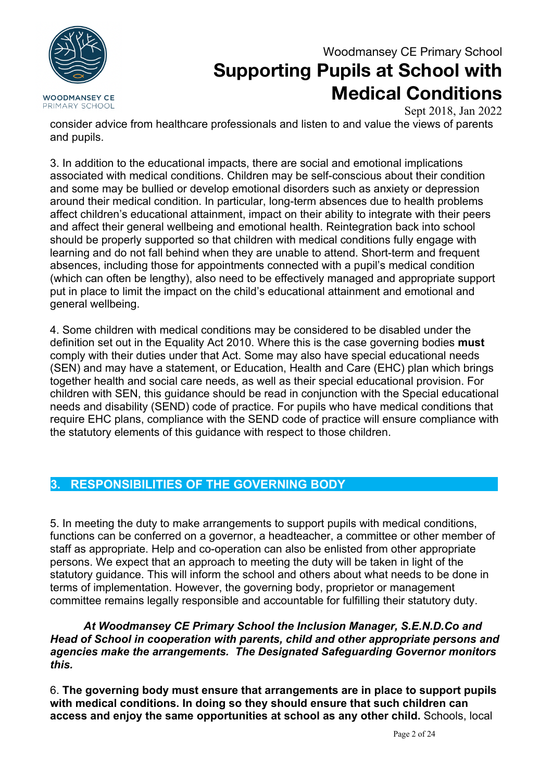

Sept 2018, Jan 2022

consider advice from healthcare professionals and listen to and value the views of parents and pupils.

3. In addition to the educational impacts, there are social and emotional implications associated with medical conditions. Children may be self-conscious about their condition and some may be bullied or develop emotional disorders such as anxiety or depression around their medical condition. In particular, long-term absences due to health problems affect children's educational attainment, impact on their ability to integrate with their peers and affect their general wellbeing and emotional health. Reintegration back into school should be properly supported so that children with medical conditions fully engage with learning and do not fall behind when they are unable to attend. Short-term and frequent absences, including those for appointments connected with a pupil's medical condition (which can often be lengthy), also need to be effectively managed and appropriate support put in place to limit the impact on the child's educational attainment and emotional and general wellbeing.

4. Some children with medical conditions may be considered to be disabled under the definition set out in the Equality Act 2010. Where this is the case governing bodies **must**  comply with their duties under that Act. Some may also have special educational needs (SEN) and may have a statement, or Education, Health and Care (EHC) plan which brings together health and social care needs, as well as their special educational provision. For children with SEN, this guidance should be read in conjunction with the Special educational needs and disability (SEND) code of practice. For pupils who have medical conditions that require EHC plans, compliance with the SEND code of practice will ensure compliance with the statutory elements of this guidance with respect to those children.

### **3. RESPONSIBILITIES OF THE GOVERNING BODY**

5. In meeting the duty to make arrangements to support pupils with medical conditions, functions can be conferred on a governor, a headteacher, a committee or other member of staff as appropriate. Help and co-operation can also be enlisted from other appropriate persons. We expect that an approach to meeting the duty will be taken in light of the statutory guidance. This will inform the school and others about what needs to be done in terms of implementation. However, the governing body, proprietor or management committee remains legally responsible and accountable for fulfilling their statutory duty.

*At Woodmansey CE Primary School the Inclusion Manager, S.E.N.D.Co and Head of School in cooperation with parents, child and other appropriate persons and agencies make the arrangements. The Designated Safeguarding Governor monitors this.*

6. **The governing body must ensure that arrangements are in place to support pupils with medical conditions. In doing so they should ensure that such children can access and enjoy the same opportunities at school as any other child.** Schools, local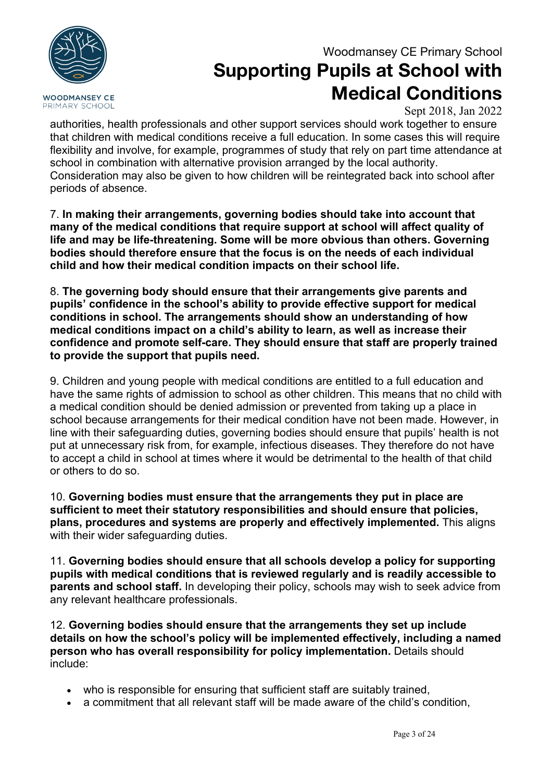

# **Supporting Pupils at School with Medical Conditions**

Sept 2018, Jan 2022

authorities, health professionals and other support services should work together to ensure that children with medical conditions receive a full education. In some cases this will require flexibility and involve, for example, programmes of study that rely on part time attendance at school in combination with alternative provision arranged by the local authority. Consideration may also be given to how children will be reintegrated back into school after periods of absence.

7. **In making their arrangements, governing bodies should take into account that many of the medical conditions that require support at school will affect quality of life and may be life-threatening. Some will be more obvious than others. Governing bodies should therefore ensure that the focus is on the needs of each individual child and how their medical condition impacts on their school life.** 

8. **The governing body should ensure that their arrangements give parents and pupils' confidence in the school's ability to provide effective support for medical conditions in school. The arrangements should show an understanding of how medical conditions impact on a child's ability to learn, as well as increase their confidence and promote self-care. They should ensure that staff are properly trained to provide the support that pupils need.** 

9. Children and young people with medical conditions are entitled to a full education and have the same rights of admission to school as other children. This means that no child with a medical condition should be denied admission or prevented from taking up a place in school because arrangements for their medical condition have not been made. However, in line with their safeguarding duties, governing bodies should ensure that pupils' health is not put at unnecessary risk from, for example, infectious diseases. They therefore do not have to accept a child in school at times where it would be detrimental to the health of that child or others to do so.

10. **Governing bodies must ensure that the arrangements they put in place are sufficient to meet their statutory responsibilities and should ensure that policies, plans, procedures and systems are properly and effectively implemented.** This aligns with their wider safeguarding duties.

11. **Governing bodies should ensure that all schools develop a policy for supporting pupils with medical conditions that is reviewed regularly and is readily accessible to parents and school staff.** In developing their policy, schools may wish to seek advice from any relevant healthcare professionals.

12. **Governing bodies should ensure that the arrangements they set up include details on how the school's policy will be implemented effectively, including a named person who has overall responsibility for policy implementation.** Details should include:

- who is responsible for ensuring that sufficient staff are suitably trained,
- a commitment that all relevant staff will be made aware of the child's condition,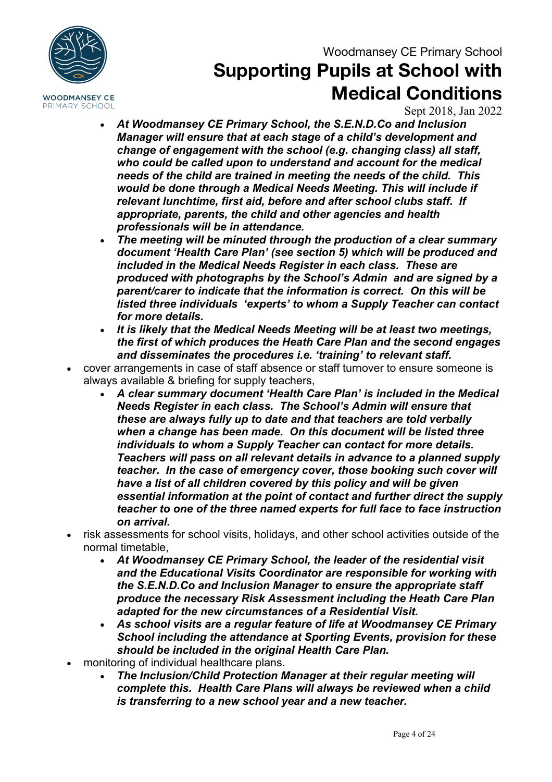

## **Supporting Pupils at School with Medical Conditions**

Sept 2018, Jan 2022

- *At Woodmansey CE Primary School, the S.E.N.D.Co and Inclusion Manager will ensure that at each stage of a child's development and change of engagement with the school (e.g. changing class) all staff, who could be called upon to understand and account for the medical needs of the child are trained in meeting the needs of the child. This would be done through a Medical Needs Meeting. This will include if relevant lunchtime, first aid, before and after school clubs staff. If appropriate, parents, the child and other agencies and health professionals will be in attendance.*
- *The meeting will be minuted through the production of a clear summary document 'Health Care Plan' (see section 5) which will be produced and included in the Medical Needs Register in each class. These are produced with photographs by the School's Admin and are signed by a parent/carer to indicate that the information is correct. On this will be listed three individuals 'experts' to whom a Supply Teacher can contact for more details.*
- *It is likely that the Medical Needs Meeting will be at least two meetings, the first of which produces the Heath Care Plan and the second engages and disseminates the procedures i.e. 'training' to relevant staff.*
- cover arrangements in case of staff absence or staff turnover to ensure someone is always available & briefing for supply teachers,
	- *A clear summary document 'Health Care Plan' is included in the Medical Needs Register in each class. The School's Admin will ensure that these are always fully up to date and that teachers are told verbally when a change has been made. On this document will be listed three individuals to whom a Supply Teacher can contact for more details. Teachers will pass on all relevant details in advance to a planned supply teacher. In the case of emergency cover, those booking such cover will have a list of all children covered by this policy and will be given essential information at the point of contact and further direct the supply teacher to one of the three named experts for full face to face instruction on arrival.*
- risk assessments for school visits, holidays, and other school activities outside of the normal timetable,
	- *At Woodmansey CE Primary School, the leader of the residential visit and the Educational Visits Coordinator are responsible for working with the S.E.N.D.Co and Inclusion Manager to ensure the appropriate staff produce the necessary Risk Assessment including the Heath Care Plan adapted for the new circumstances of a Residential Visit.*
	- *As school visits are a regular feature of life at Woodmansey CE Primary School including the attendance at Sporting Events, provision for these should be included in the original Health Care Plan.*
- monitoring of individual healthcare plans.
	- *The Inclusion/Child Protection Manager at their regular meeting will complete this. Health Care Plans will always be reviewed when a child is transferring to a new school year and a new teacher.*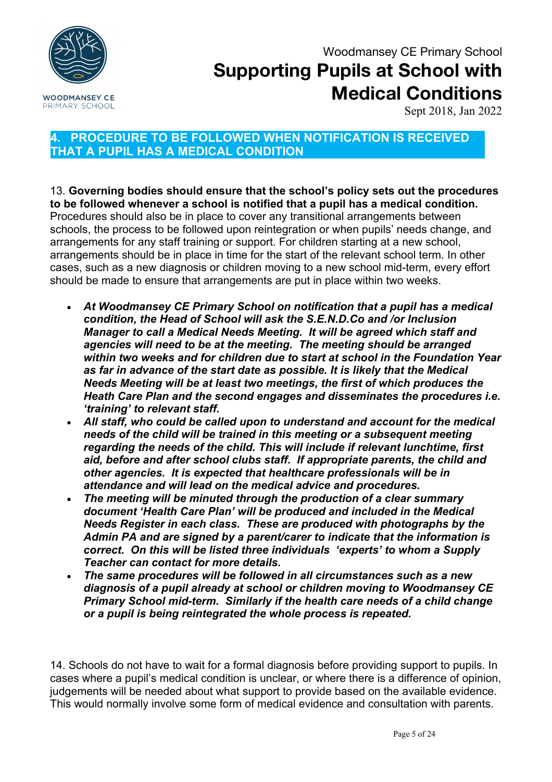

Sept 2018, Jan 2022

### **4. PROCEDURE TO BE FOLLOWED WHEN NOTIFICATION IS RECEIVED THAT A PUPIL HAS A MEDICAL CONDITION**

13. **Governing bodies should ensure that the school's policy sets out the procedures to be followed whenever a school is notified that a pupil has a medical condition.**  Procedures should also be in place to cover any transitional arrangements between schools, the process to be followed upon reintegration or when pupils' needs change, and arrangements for any staff training or support. For children starting at a new school, arrangements should be in place in time for the start of the relevant school term. In other cases, such as a new diagnosis or children moving to a new school mid-term, every effort should be made to ensure that arrangements are put in place within two weeks.

- *At Woodmansey CE Primary School on notification that a pupil has a medical condition, the Head of School will ask the S.E.N.D.Co and /or Inclusion Manager to call a Medical Needs Meeting. It will be agreed which staff and agencies will need to be at the meeting. The meeting should be arranged within two weeks and for children due to start at school in the Foundation Year as far in advance of the start date as possible. It is likely that the Medical Needs Meeting will be at least two meetings, the first of which produces the Heath Care Plan and the second engages and disseminates the procedures i.e. 'training' to relevant staff.*
- *All staff, who could be called upon to understand and account for the medical needs of the child will be trained in this meeting or a subsequent meeting regarding the needs of the child. This will include if relevant lunchtime, first aid, before and after school clubs staff. If appropriate parents, the child and other agencies. It is expected that healthcare professionals will be in attendance and will lead on the medical advice and procedures.*
- *The meeting will be minuted through the production of a clear summary document 'Health Care Plan' will be produced and included in the Medical Needs Register in each class. These are produced with photographs by the Admin PA and are signed by a parent/carer to indicate that the information is correct. On this will be listed three individuals 'experts' to whom a Supply Teacher can contact for more details.*
- *The same procedures will be followed in all circumstances such as a new diagnosis of a pupil already at school or children moving to Woodmansey CE Primary School mid-term. Similarly if the health care needs of a child change or a pupil is being reintegrated the whole process is repeated.*

14. Schools do not have to wait for a formal diagnosis before providing support to pupils. In cases where a pupil's medical condition is unclear, or where there is a difference of opinion, judgements will be needed about what support to provide based on the available evidence. This would normally involve some form of medical evidence and consultation with parents.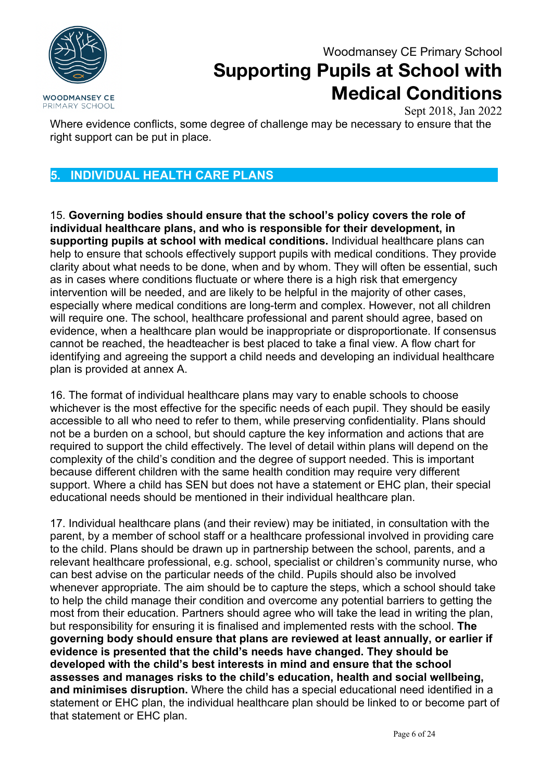**WOODMANSEY CE** PRIMARY SCHOOL

## Woodmansey CE Primary School **Supporting Pupils at School with Medical Conditions**

Sept 2018, Jan 2022

Where evidence conflicts, some degree of challenge may be necessary to ensure that the right support can be put in place.

### **5. INDIVIDUAL HEALTH CARE PLANS**

15. **Governing bodies should ensure that the school's policy covers the role of individual healthcare plans, and who is responsible for their development, in supporting pupils at school with medical conditions.** Individual healthcare plans can help to ensure that schools effectively support pupils with medical conditions. They provide clarity about what needs to be done, when and by whom. They will often be essential, such as in cases where conditions fluctuate or where there is a high risk that emergency intervention will be needed, and are likely to be helpful in the majority of other cases, especially where medical conditions are long-term and complex. However, not all children will require one. The school, healthcare professional and parent should agree, based on evidence, when a healthcare plan would be inappropriate or disproportionate. If consensus cannot be reached, the headteacher is best placed to take a final view. A flow chart for identifying and agreeing the support a child needs and developing an individual healthcare plan is provided at annex A.

16. The format of individual healthcare plans may vary to enable schools to choose whichever is the most effective for the specific needs of each pupil. They should be easily accessible to all who need to refer to them, while preserving confidentiality. Plans should not be a burden on a school, but should capture the key information and actions that are required to support the child effectively. The level of detail within plans will depend on the complexity of the child's condition and the degree of support needed. This is important because different children with the same health condition may require very different support. Where a child has SEN but does not have a statement or EHC plan, their special educational needs should be mentioned in their individual healthcare plan.

17. Individual healthcare plans (and their review) may be initiated, in consultation with the parent, by a member of school staff or a healthcare professional involved in providing care to the child. Plans should be drawn up in partnership between the school, parents, and a relevant healthcare professional, e.g. school, specialist or children's community nurse, who can best advise on the particular needs of the child. Pupils should also be involved whenever appropriate. The aim should be to capture the steps, which a school should take to help the child manage their condition and overcome any potential barriers to getting the most from their education. Partners should agree who will take the lead in writing the plan, but responsibility for ensuring it is finalised and implemented rests with the school. **The governing body should ensure that plans are reviewed at least annually, or earlier if evidence is presented that the child's needs have changed. They should be developed with the child's best interests in mind and ensure that the school assesses and manages risks to the child's education, health and social wellbeing, and minimises disruption.** Where the child has a special educational need identified in a statement or EHC plan, the individual healthcare plan should be linked to or become part of that statement or EHC plan.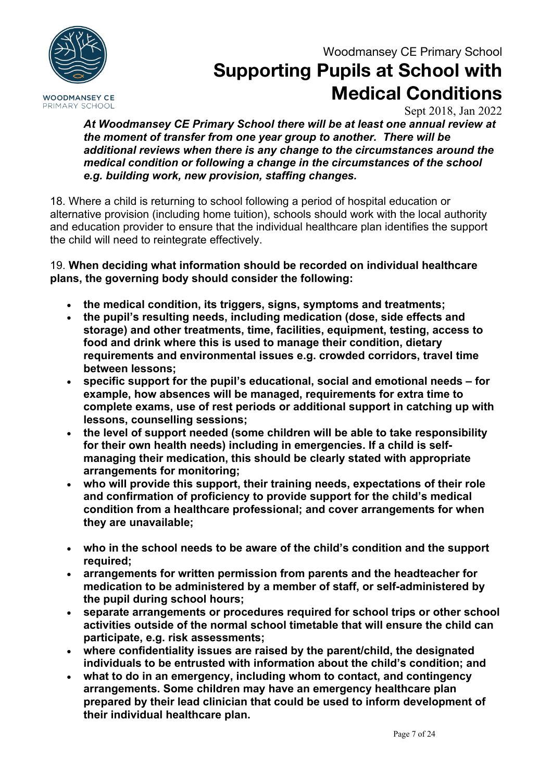

# **Supporting Pupils at School with Medical Conditions**

Sept 2018, Jan 2022

*At Woodmansey CE Primary School there will be at least one annual review at the moment of transfer from one year group to another. There will be additional reviews when there is any change to the circumstances around the medical condition or following a change in the circumstances of the school e.g. building work, new provision, staffing changes.*

18. Where a child is returning to school following a period of hospital education or alternative provision (including home tuition), schools should work with the local authority and education provider to ensure that the individual healthcare plan identifies the support the child will need to reintegrate effectively.

19. **When deciding what information should be recorded on individual healthcare plans, the governing body should consider the following:** 

- **the medical condition, its triggers, signs, symptoms and treatments;**
- **the pupil's resulting needs, including medication (dose, side effects and storage) and other treatments, time, facilities, equipment, testing, access to food and drink where this is used to manage their condition, dietary requirements and environmental issues e.g. crowded corridors, travel time between lessons;**
- **specific support for the pupil's educational, social and emotional needs – for example, how absences will be managed, requirements for extra time to complete exams, use of rest periods or additional support in catching up with lessons, counselling sessions;**
- **the level of support needed (some children will be able to take responsibility for their own health needs) including in emergencies. If a child is selfmanaging their medication, this should be clearly stated with appropriate arrangements for monitoring;**
- **who will provide this support, their training needs, expectations of their role and confirmation of proficiency to provide support for the child's medical condition from a healthcare professional; and cover arrangements for when they are unavailable;**
- **who in the school needs to be aware of the child's condition and the support required;**
- **arrangements for written permission from parents and the headteacher for medication to be administered by a member of staff, or self-administered by the pupil during school hours;**
- **separate arrangements or procedures required for school trips or other school activities outside of the normal school timetable that will ensure the child can participate, e.g. risk assessments;**
- **where confidentiality issues are raised by the parent/child, the designated individuals to be entrusted with information about the child's condition; and**
- **what to do in an emergency, including whom to contact, and contingency arrangements. Some children may have an emergency healthcare plan prepared by their lead clinician that could be used to inform development of their individual healthcare plan.**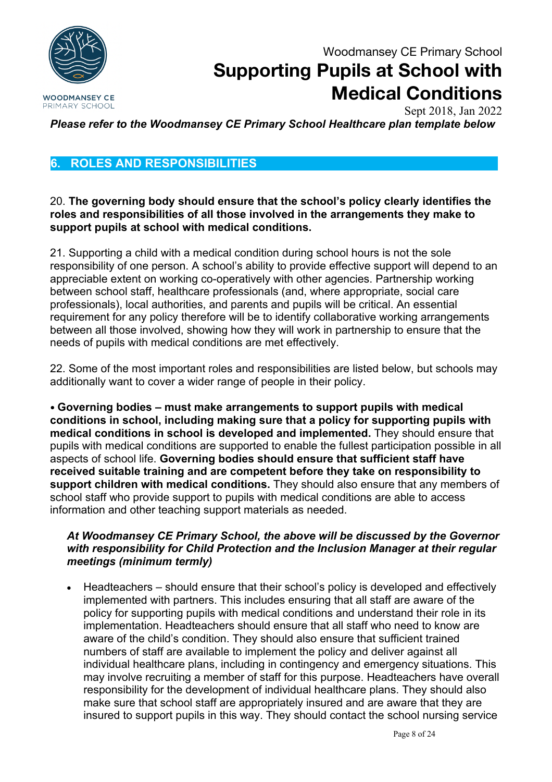

Sept 2018, Jan 2022

*Please refer to the Woodmansey CE Primary School Healthcare plan template below*

### **6. ROLES AND RESPONSIBILITIES**

#### 20. **The governing body should ensure that the school's policy clearly identifies the roles and responsibilities of all those involved in the arrangements they make to support pupils at school with medical conditions.**

21. Supporting a child with a medical condition during school hours is not the sole responsibility of one person. A school's ability to provide effective support will depend to an appreciable extent on working co-operatively with other agencies. Partnership working between school staff, healthcare professionals (and, where appropriate, social care professionals), local authorities, and parents and pupils will be critical. An essential requirement for any policy therefore will be to identify collaborative working arrangements between all those involved, showing how they will work in partnership to ensure that the needs of pupils with medical conditions are met effectively.

22. Some of the most important roles and responsibilities are listed below, but schools may additionally want to cover a wider range of people in their policy.

• **Governing bodies – must make arrangements to support pupils with medical conditions in school, including making sure that a policy for supporting pupils with medical conditions in school is developed and implemented.** They should ensure that pupils with medical conditions are supported to enable the fullest participation possible in all aspects of school life. **Governing bodies should ensure that sufficient staff have received suitable training and are competent before they take on responsibility to support children with medical conditions.** They should also ensure that any members of school staff who provide support to pupils with medical conditions are able to access information and other teaching support materials as needed.

#### *At Woodmansey CE Primary School, the above will be discussed by the Governor with responsibility for Child Protection and the Inclusion Manager at their regular meetings (minimum termly)*

• Headteachers – should ensure that their school's policy is developed and effectively implemented with partners. This includes ensuring that all staff are aware of the policy for supporting pupils with medical conditions and understand their role in its implementation. Headteachers should ensure that all staff who need to know are aware of the child's condition. They should also ensure that sufficient trained numbers of staff are available to implement the policy and deliver against all individual healthcare plans, including in contingency and emergency situations. This may involve recruiting a member of staff for this purpose. Headteachers have overall responsibility for the development of individual healthcare plans. They should also make sure that school staff are appropriately insured and are aware that they are insured to support pupils in this way. They should contact the school nursing service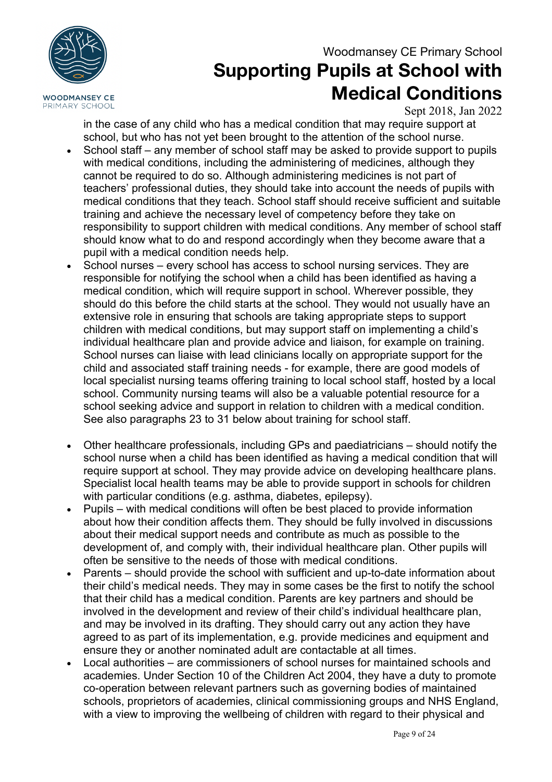



# **Supporting Pupils at School with Medical Conditions**

Sept 2018, Jan 2022

in the case of any child who has a medical condition that may require support at school, but who has not yet been brought to the attention of the school nurse.

- School staff any member of school staff may be asked to provide support to pupils with medical conditions, including the administering of medicines, although they cannot be required to do so. Although administering medicines is not part of teachers' professional duties, they should take into account the needs of pupils with medical conditions that they teach. School staff should receive sufficient and suitable training and achieve the necessary level of competency before they take on responsibility to support children with medical conditions. Any member of school staff should know what to do and respond accordingly when they become aware that a pupil with a medical condition needs help.
- School nurses every school has access to school nursing services. They are responsible for notifying the school when a child has been identified as having a medical condition, which will require support in school. Wherever possible, they should do this before the child starts at the school. They would not usually have an extensive role in ensuring that schools are taking appropriate steps to support children with medical conditions, but may support staff on implementing a child's individual healthcare plan and provide advice and liaison, for example on training. School nurses can liaise with lead clinicians locally on appropriate support for the child and associated staff training needs - for example, there are good models of local specialist nursing teams offering training to local school staff, hosted by a local school. Community nursing teams will also be a valuable potential resource for a school seeking advice and support in relation to children with a medical condition. See also paragraphs 23 to 31 below about training for school staff.
- Other healthcare professionals, including GPs and paediatricians should notify the school nurse when a child has been identified as having a medical condition that will require support at school. They may provide advice on developing healthcare plans. Specialist local health teams may be able to provide support in schools for children with particular conditions (e.g. asthma, diabetes, epilepsy).
- Pupils with medical conditions will often be best placed to provide information about how their condition affects them. They should be fully involved in discussions about their medical support needs and contribute as much as possible to the development of, and comply with, their individual healthcare plan. Other pupils will often be sensitive to the needs of those with medical conditions.
- Parents should provide the school with sufficient and up-to-date information about their child's medical needs. They may in some cases be the first to notify the school that their child has a medical condition. Parents are key partners and should be involved in the development and review of their child's individual healthcare plan, and may be involved in its drafting. They should carry out any action they have agreed to as part of its implementation, e.g. provide medicines and equipment and ensure they or another nominated adult are contactable at all times.
- Local authorities are commissioners of school nurses for maintained schools and academies. Under Section 10 of the Children Act 2004, they have a duty to promote co-operation between relevant partners such as governing bodies of maintained schools, proprietors of academies, clinical commissioning groups and NHS England, with a view to improving the wellbeing of children with regard to their physical and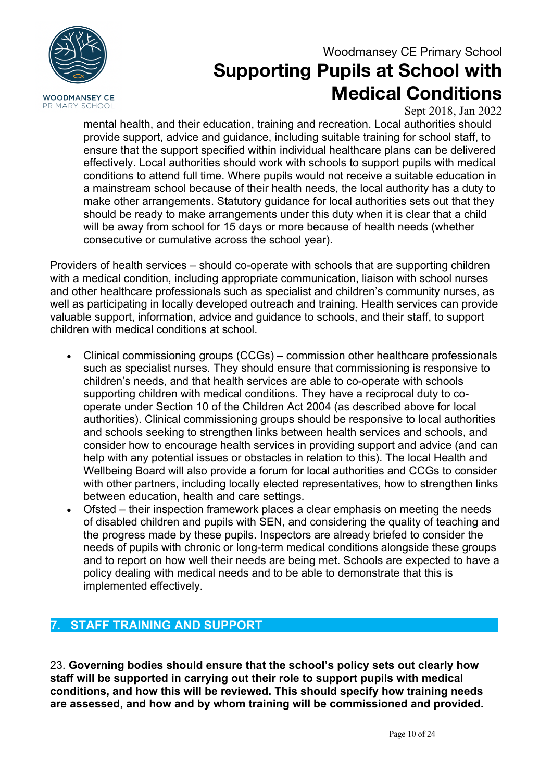

Sept 2018, Jan 2022

mental health, and their education, training and recreation. Local authorities should provide support, advice and guidance, including suitable training for school staff, to ensure that the support specified within individual healthcare plans can be delivered effectively. Local authorities should work with schools to support pupils with medical conditions to attend full time. Where pupils would not receive a suitable education in a mainstream school because of their health needs, the local authority has a duty to make other arrangements. Statutory guidance for local authorities sets out that they should be ready to make arrangements under this duty when it is clear that a child will be away from school for 15 days or more because of health needs (whether consecutive or cumulative across the school year).

Providers of health services – should co-operate with schools that are supporting children with a medical condition, including appropriate communication, liaison with school nurses and other healthcare professionals such as specialist and children's community nurses, as well as participating in locally developed outreach and training. Health services can provide valuable support, information, advice and guidance to schools, and their staff, to support children with medical conditions at school.

- Clinical commissioning groups (CCGs) commission other healthcare professionals such as specialist nurses. They should ensure that commissioning is responsive to children's needs, and that health services are able to co-operate with schools supporting children with medical conditions. They have a reciprocal duty to cooperate under Section 10 of the Children Act 2004 (as described above for local authorities). Clinical commissioning groups should be responsive to local authorities and schools seeking to strengthen links between health services and schools, and consider how to encourage health services in providing support and advice (and can help with any potential issues or obstacles in relation to this). The local Health and Wellbeing Board will also provide a forum for local authorities and CCGs to consider with other partners, including locally elected representatives, how to strengthen links between education, health and care settings.
- Ofsted their inspection framework places a clear emphasis on meeting the needs of disabled children and pupils with SEN, and considering the quality of teaching and the progress made by these pupils. Inspectors are already briefed to consider the needs of pupils with chronic or long-term medical conditions alongside these groups and to report on how well their needs are being met. Schools are expected to have a policy dealing with medical needs and to be able to demonstrate that this is implemented effectively.

### **7. STAFF TRAINING AND SUPPORT**

23. **Governing bodies should ensure that the school's policy sets out clearly how staff will be supported in carrying out their role to support pupils with medical conditions, and how this will be reviewed. This should specify how training needs are assessed, and how and by whom training will be commissioned and provided.**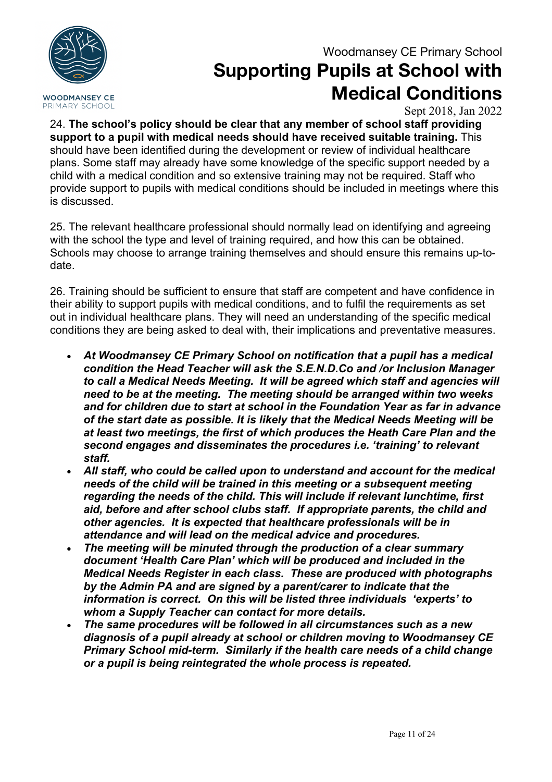

# **Supporting Pupils at School with Medical Conditions**

Sept 2018, Jan 2022

24. **The school's policy should be clear that any member of school staff providing support to a pupil with medical needs should have received suitable training.** This should have been identified during the development or review of individual healthcare plans. Some staff may already have some knowledge of the specific support needed by a child with a medical condition and so extensive training may not be required. Staff who provide support to pupils with medical conditions should be included in meetings where this is discussed.

25. The relevant healthcare professional should normally lead on identifying and agreeing with the school the type and level of training required, and how this can be obtained. Schools may choose to arrange training themselves and should ensure this remains up-todate.

26. Training should be sufficient to ensure that staff are competent and have confidence in their ability to support pupils with medical conditions, and to fulfil the requirements as set out in individual healthcare plans. They will need an understanding of the specific medical conditions they are being asked to deal with, their implications and preventative measures.

- *At Woodmansey CE Primary School on notification that a pupil has a medical condition the Head Teacher will ask the S.E.N.D.Co and /or Inclusion Manager to call a Medical Needs Meeting. It will be agreed which staff and agencies will need to be at the meeting. The meeting should be arranged within two weeks and for children due to start at school in the Foundation Year as far in advance of the start date as possible. It is likely that the Medical Needs Meeting will be at least two meetings, the first of which produces the Heath Care Plan and the second engages and disseminates the procedures i.e. 'training' to relevant staff.*
- *All staff, who could be called upon to understand and account for the medical needs of the child will be trained in this meeting or a subsequent meeting regarding the needs of the child. This will include if relevant lunchtime, first aid, before and after school clubs staff. If appropriate parents, the child and other agencies. It is expected that healthcare professionals will be in attendance and will lead on the medical advice and procedures.*
- *The meeting will be minuted through the production of a clear summary document 'Health Care Plan' which will be produced and included in the Medical Needs Register in each class. These are produced with photographs by the Admin PA and are signed by a parent/carer to indicate that the information is correct. On this will be listed three individuals 'experts' to whom a Supply Teacher can contact for more details.*
- *The same procedures will be followed in all circumstances such as a new diagnosis of a pupil already at school or children moving to Woodmansey CE Primary School mid-term. Similarly if the health care needs of a child change or a pupil is being reintegrated the whole process is repeated.*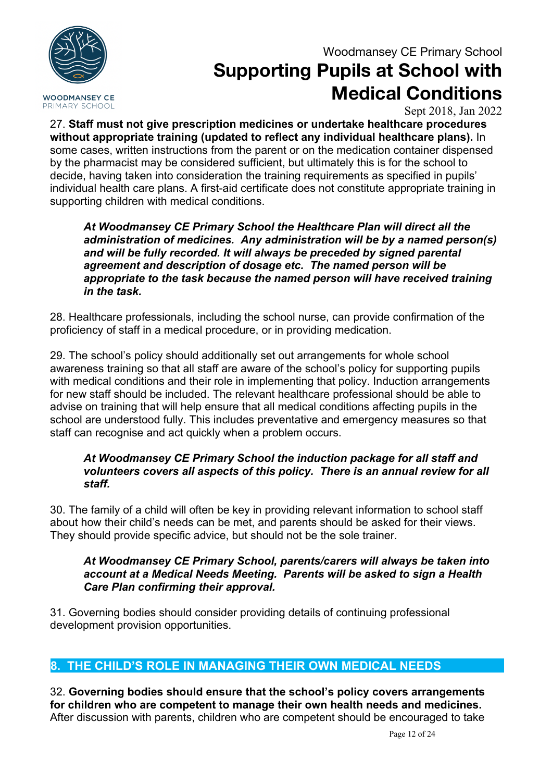

# **Supporting Pupils at School with Medical Conditions**

Sept 2018, Jan 2022

27. **Staff must not give prescription medicines or undertake healthcare procedures without appropriate training (updated to reflect any individual healthcare plans).** In some cases, written instructions from the parent or on the medication container dispensed by the pharmacist may be considered sufficient, but ultimately this is for the school to decide, having taken into consideration the training requirements as specified in pupils' individual health care plans. A first-aid certificate does not constitute appropriate training in supporting children with medical conditions.

*At Woodmansey CE Primary School the Healthcare Plan will direct all the administration of medicines. Any administration will be by a named person(s) and will be fully recorded. It will always be preceded by signed parental agreement and description of dosage etc. The named person will be appropriate to the task because the named person will have received training in the task.*

28. Healthcare professionals, including the school nurse, can provide confirmation of the proficiency of staff in a medical procedure, or in providing medication.

29. The school's policy should additionally set out arrangements for whole school awareness training so that all staff are aware of the school's policy for supporting pupils with medical conditions and their role in implementing that policy. Induction arrangements for new staff should be included. The relevant healthcare professional should be able to advise on training that will help ensure that all medical conditions affecting pupils in the school are understood fully. This includes preventative and emergency measures so that staff can recognise and act quickly when a problem occurs.

#### *At Woodmansey CE Primary School the induction package for all staff and volunteers covers all aspects of this policy. There is an annual review for all staff.*

30. The family of a child will often be key in providing relevant information to school staff about how their child's needs can be met, and parents should be asked for their views. They should provide specific advice, but should not be the sole trainer.

#### *At Woodmansey CE Primary School, parents/carers will always be taken into account at a Medical Needs Meeting. Parents will be asked to sign a Health Care Plan confirming their approval.*

31. Governing bodies should consider providing details of continuing professional development provision opportunities.

### **8. THE CHILD'S ROLE IN MANAGING THEIR OWN MEDICAL NEEDS**

32. **Governing bodies should ensure that the school's policy covers arrangements for children who are competent to manage their own health needs and medicines.**  After discussion with parents, children who are competent should be encouraged to take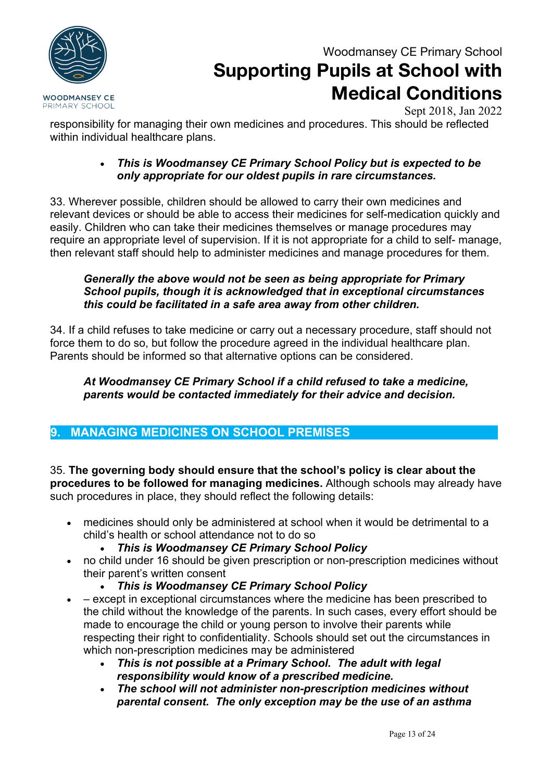

## **Supporting Pupils at School with Medical Conditions**

Sept 2018, Jan 2022

responsibility for managing their own medicines and procedures. This should be reflected within individual healthcare plans.

#### • *This is Woodmansey CE Primary School Policy but is expected to be only appropriate for our oldest pupils in rare circumstances.*

33. Wherever possible, children should be allowed to carry their own medicines and relevant devices or should be able to access their medicines for self-medication quickly and easily. Children who can take their medicines themselves or manage procedures may require an appropriate level of supervision. If it is not appropriate for a child to self- manage, then relevant staff should help to administer medicines and manage procedures for them.

#### *Generally the above would not be seen as being appropriate for Primary School pupils, though it is acknowledged that in exceptional circumstances this could be facilitated in a safe area away from other children.*

34. If a child refuses to take medicine or carry out a necessary procedure, staff should not force them to do so, but follow the procedure agreed in the individual healthcare plan. Parents should be informed so that alternative options can be considered.

#### *At Woodmansey CE Primary School if a child refused to take a medicine, parents would be contacted immediately for their advice and decision.*

### **9. MANAGING MEDICINES ON SCHOOL PREMISES**

35. **The governing body should ensure that the school's policy is clear about the procedures to be followed for managing medicines.** Although schools may already have such procedures in place, they should reflect the following details:

- medicines should only be administered at school when it would be detrimental to a child's health or school attendance not to do so
	- *This is Woodmansey CE Primary School Policy*
- no child under 16 should be given prescription or non-prescription medicines without their parent's written consent
	- *This is Woodmansey CE Primary School Policy*
- – except in exceptional circumstances where the medicine has been prescribed to the child without the knowledge of the parents. In such cases, every effort should be made to encourage the child or young person to involve their parents while respecting their right to confidentiality. Schools should set out the circumstances in which non-prescription medicines may be administered
	- *This is not possible at a Primary School. The adult with legal responsibility would know of a prescribed medicine.*
	- *The school will not administer non-prescription medicines without parental consent. The only exception may be the use of an asthma*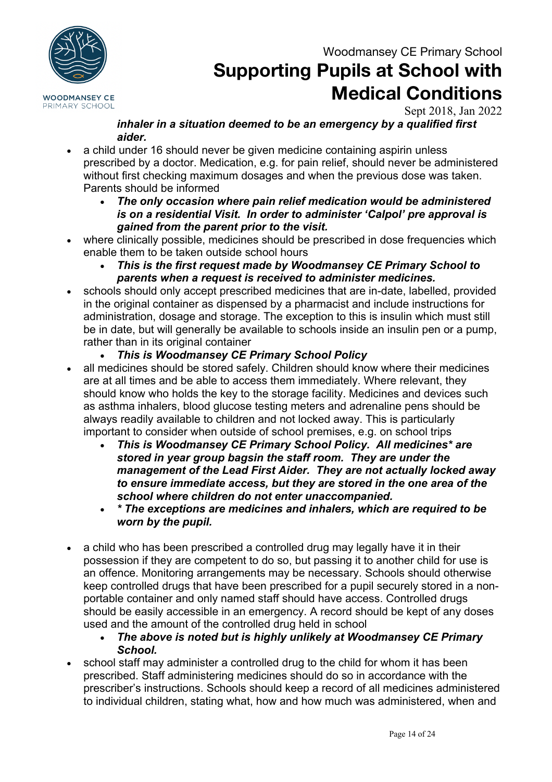

## **Supporting Pupils at School with Medical Conditions**

Sept 2018, Jan 2022

#### *inhaler in a situation deemed to be an emergency by a qualified first aider.*

- a child under 16 should never be given medicine containing aspirin unless prescribed by a doctor. Medication, e.g. for pain relief, should never be administered without first checking maximum dosages and when the previous dose was taken. Parents should be informed
	- *The only occasion where pain relief medication would be administered is on a residential Visit. In order to administer 'Calpol' pre approval is gained from the parent prior to the visit.*
- where clinically possible, medicines should be prescribed in dose frequencies which enable them to be taken outside school hours
	- *This is the first request made by Woodmansey CE Primary School to parents when a request is received to administer medicines.*
- schools should only accept prescribed medicines that are in-date, labelled, provided in the original container as dispensed by a pharmacist and include instructions for administration, dosage and storage. The exception to this is insulin which must still be in date, but will generally be available to schools inside an insulin pen or a pump, rather than in its original container
	- *This is Woodmansey CE Primary School Policy*
- all medicines should be stored safely. Children should know where their medicines are at all times and be able to access them immediately. Where relevant, they should know who holds the key to the storage facility. Medicines and devices such as asthma inhalers, blood glucose testing meters and adrenaline pens should be always readily available to children and not locked away. This is particularly important to consider when outside of school premises, e.g. on school trips
	- *This is Woodmansey CE Primary School Policy. All medicines\* are stored in year group bagsin the staff room. They are under the management of the Lead First Aider. They are not actually locked away to ensure immediate access, but they are stored in the one area of the school where children do not enter unaccompanied.*
	- *\* The exceptions are medicines and inhalers, which are required to be worn by the pupil.*
- a child who has been prescribed a controlled drug may legally have it in their possession if they are competent to do so, but passing it to another child for use is an offence. Monitoring arrangements may be necessary. Schools should otherwise keep controlled drugs that have been prescribed for a pupil securely stored in a nonportable container and only named staff should have access. Controlled drugs should be easily accessible in an emergency. A record should be kept of any doses used and the amount of the controlled drug held in school
	- *The above is noted but is highly unlikely at Woodmansey CE Primary School.*
- school staff may administer a controlled drug to the child for whom it has been prescribed. Staff administering medicines should do so in accordance with the prescriber's instructions. Schools should keep a record of all medicines administered to individual children, stating what, how and how much was administered, when and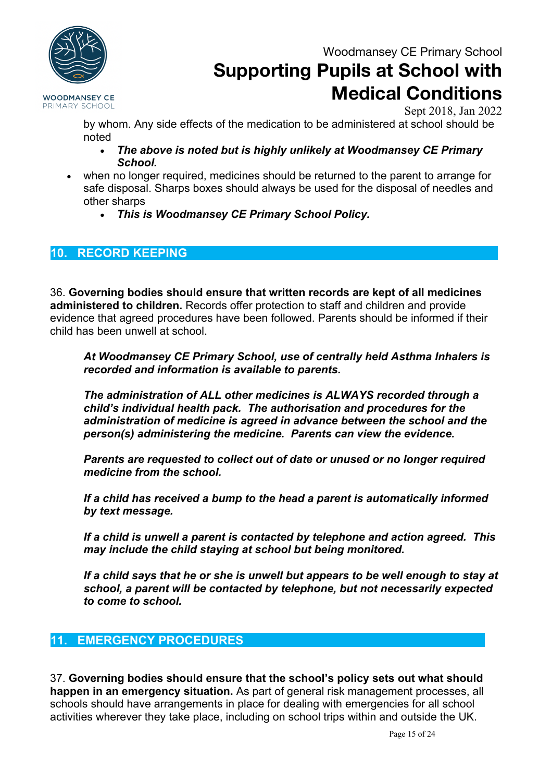

# **Supporting Pupils at School with Medical Conditions**

Sept 2018, Jan 2022

by whom. Any side effects of the medication to be administered at school should be noted

- *The above is noted but is highly unlikely at Woodmansey CE Primary School.*
- when no longer required, medicines should be returned to the parent to arrange for safe disposal. Sharps boxes should always be used for the disposal of needles and other sharps
	- *This is Woodmansey CE Primary School Policy.*

### **10. RECORD KEEPING**

36. **Governing bodies should ensure that written records are kept of all medicines administered to children.** Records offer protection to staff and children and provide evidence that agreed procedures have been followed. Parents should be informed if their child has been unwell at school.

*At Woodmansey CE Primary School, use of centrally held Asthma Inhalers is recorded and information is available to parents.*

*The administration of ALL other medicines is ALWAYS recorded through a child's individual health pack. The authorisation and procedures for the administration of medicine is agreed in advance between the school and the person(s) administering the medicine. Parents can view the evidence.*

*Parents are requested to collect out of date or unused or no longer required medicine from the school.*

*If a child has received a bump to the head a parent is automatically informed by text message.*

*If a child is unwell a parent is contacted by telephone and action agreed. This may include the child staying at school but being monitored.*

*If a child says that he or she is unwell but appears to be well enough to stay at school, a parent will be contacted by telephone, but not necessarily expected to come to school.*

### **11. EMERGENCY PROCEDURES**

37. **Governing bodies should ensure that the school's policy sets out what should happen in an emergency situation.** As part of general risk management processes, all schools should have arrangements in place for dealing with emergencies for all school activities wherever they take place, including on school trips within and outside the UK.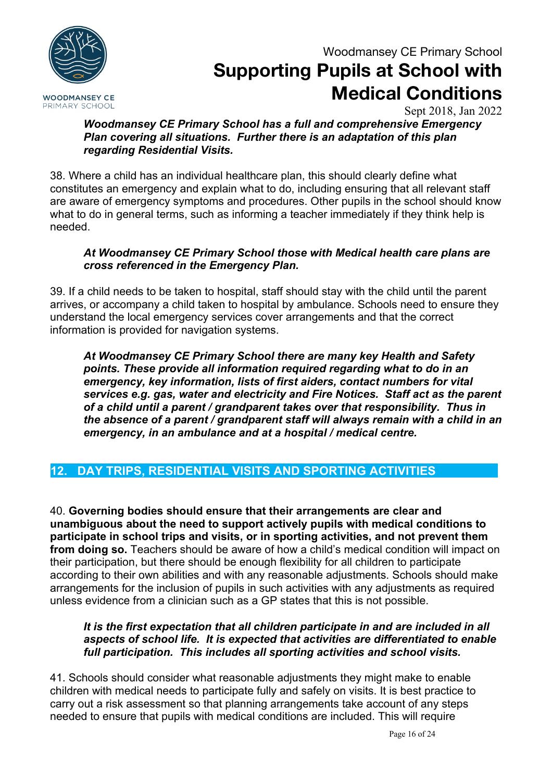

## **Supporting Pupils at School with Medical Conditions**

Sept 2018, Jan 2022

*Woodmansey CE Primary School has a full and comprehensive Emergency Plan covering all situations. Further there is an adaptation of this plan regarding Residential Visits.*

38. Where a child has an individual healthcare plan, this should clearly define what constitutes an emergency and explain what to do, including ensuring that all relevant staff are aware of emergency symptoms and procedures. Other pupils in the school should know what to do in general terms, such as informing a teacher immediately if they think help is needed.

#### *At Woodmansey CE Primary School those with Medical health care plans are cross referenced in the Emergency Plan.*

39. If a child needs to be taken to hospital, staff should stay with the child until the parent arrives, or accompany a child taken to hospital by ambulance. Schools need to ensure they understand the local emergency services cover arrangements and that the correct information is provided for navigation systems.

*At Woodmansey CE Primary School there are many key Health and Safety points. These provide all information required regarding what to do in an emergency, key information, lists of first aiders, contact numbers for vital services e.g. gas, water and electricity and Fire Notices. Staff act as the parent of a child until a parent / grandparent takes over that responsibility. Thus in the absence of a parent / grandparent staff will always remain with a child in an emergency, in an ambulance and at a hospital / medical centre.*

### **12. DAY TRIPS, RESIDENTIAL VISITS AND SPORTING ACTIVITIES**

40. **Governing bodies should ensure that their arrangements are clear and unambiguous about the need to support actively pupils with medical conditions to participate in school trips and visits, or in sporting activities, and not prevent them from doing so.** Teachers should be aware of how a child's medical condition will impact on their participation, but there should be enough flexibility for all children to participate according to their own abilities and with any reasonable adjustments. Schools should make arrangements for the inclusion of pupils in such activities with any adjustments as required unless evidence from a clinician such as a GP states that this is not possible.

#### *It is the first expectation that all children participate in and are included in all aspects of school life. It is expected that activities are differentiated to enable full participation. This includes all sporting activities and school visits.*

41. Schools should consider what reasonable adjustments they might make to enable children with medical needs to participate fully and safely on visits. It is best practice to carry out a risk assessment so that planning arrangements take account of any steps needed to ensure that pupils with medical conditions are included. This will require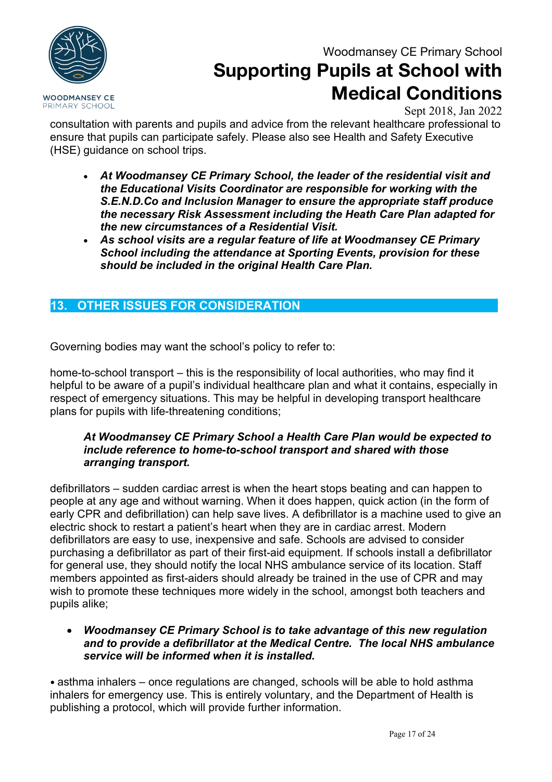

# **Supporting Pupils at School with Medical Conditions**

Sept 2018, Jan 2022

consultation with parents and pupils and advice from the relevant healthcare professional to ensure that pupils can participate safely. Please also see Health and Safety Executive (HSE) guidance on school trips.

- *At Woodmansey CE Primary School, the leader of the residential visit and the Educational Visits Coordinator are responsible for working with the S.E.N.D.Co and Inclusion Manager to ensure the appropriate staff produce the necessary Risk Assessment including the Heath Care Plan adapted for the new circumstances of a Residential Visit.*
- *As school visits are a regular feature of life at Woodmansey CE Primary School including the attendance at Sporting Events, provision for these should be included in the original Health Care Plan.*

### **13. OTHER ISSUES FOR CONSIDERATION**

Governing bodies may want the school's policy to refer to:

home-to-school transport – this is the responsibility of local authorities, who may find it helpful to be aware of a pupil's individual healthcare plan and what it contains, especially in respect of emergency situations. This may be helpful in developing transport healthcare plans for pupils with life-threatening conditions;

#### *At Woodmansey CE Primary School a Health Care Plan would be expected to include reference to home-to-school transport and shared with those arranging transport.*

defibrillators – sudden cardiac arrest is when the heart stops beating and can happen to people at any age and without warning. When it does happen, quick action (in the form of early CPR and defibrillation) can help save lives. A defibrillator is a machine used to give an electric shock to restart a patient's heart when they are in cardiac arrest. Modern defibrillators are easy to use, inexpensive and safe. Schools are advised to consider purchasing a defibrillator as part of their first-aid equipment. If schools install a defibrillator for general use, they should notify the local NHS ambulance service of its location. Staff members appointed as first-aiders should already be trained in the use of CPR and may wish to promote these techniques more widely in the school, amongst both teachers and pupils alike;

#### • *Woodmansey CE Primary School is to take advantage of this new regulation and to provide a defibrillator at the Medical Centre. The local NHS ambulance service will be informed when it is installed.*

• asthma inhalers – once regulations are changed, schools will be able to hold asthma inhalers for emergency use. This is entirely voluntary, and the Department of Health is publishing a protocol, which will provide further information.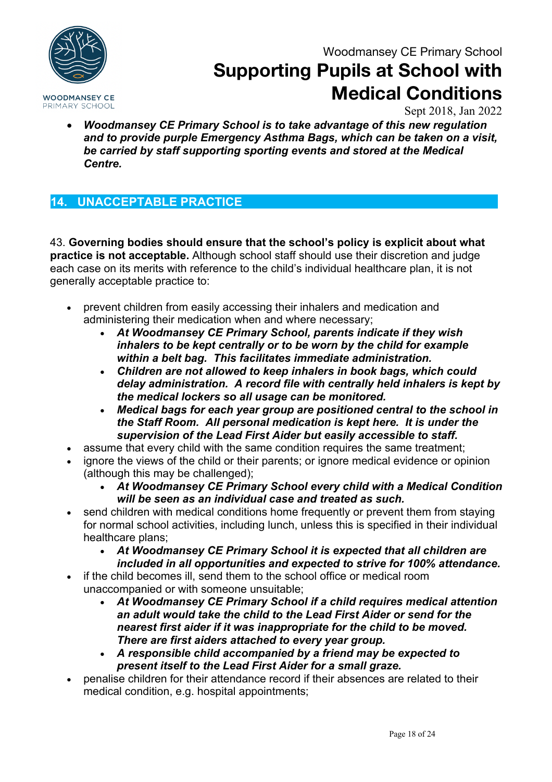

## **Supporting Pupils at School with Medical Conditions**

Sept 2018, Jan 2022

• *Woodmansey CE Primary School is to take advantage of this new regulation and to provide purple Emergency Asthma Bags, which can be taken on a visit, be carried by staff supporting sporting events and stored at the Medical Centre.*

### **14. UNACCEPTABLE PRACTICE**

43. **Governing bodies should ensure that the school's policy is explicit about what practice is not acceptable.** Although school staff should use their discretion and judge each case on its merits with reference to the child's individual healthcare plan, it is not generally acceptable practice to:

- prevent children from easily accessing their inhalers and medication and administering their medication when and where necessary;
	- *At Woodmansey CE Primary School, parents indicate if they wish inhalers to be kept centrally or to be worn by the child for example within a belt bag. This facilitates immediate administration.*
	- *Children are not allowed to keep inhalers in book bags, which could delay administration. A record file with centrally held inhalers is kept by the medical lockers so all usage can be monitored.*
	- *Medical bags for each year group are positioned central to the school in the Staff Room. All personal medication is kept here. It is under the supervision of the Lead First Aider but easily accessible to staff.*
- assume that every child with the same condition requires the same treatment;
- ignore the views of the child or their parents; or ignore medical evidence or opinion (although this may be challenged);
	- *At Woodmansey CE Primary School every child with a Medical Condition will be seen as an individual case and treated as such.*
- send children with medical conditions home frequently or prevent them from staying for normal school activities, including lunch, unless this is specified in their individual healthcare plans;
	- *At Woodmansey CE Primary School it is expected that all children are included in all opportunities and expected to strive for 100% attendance.*
- if the child becomes ill, send them to the school office or medical room unaccompanied or with someone unsuitable;
	- *At Woodmansey CE Primary School if a child requires medical attention an adult would take the child to the Lead First Aider or send for the nearest first aider if it was inappropriate for the child to be moved. There are first aiders attached to every year group.*
	- *A responsible child accompanied by a friend may be expected to present itself to the Lead First Aider for a small graze.*
- penalise children for their attendance record if their absences are related to their medical condition, e.g. hospital appointments;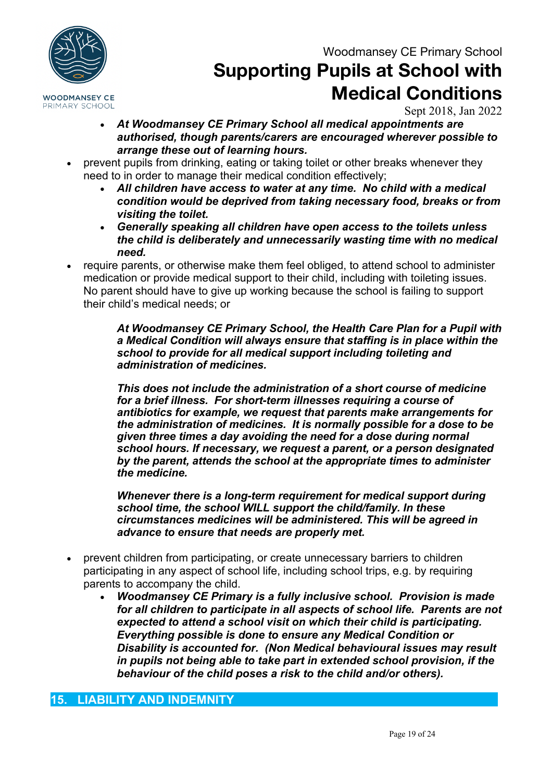

**Supporting Pupils at School with Medical Conditions**

Sept 2018, Jan 2022

- *At Woodmansey CE Primary School all medical appointments are authorised, though parents/carers are encouraged wherever possible to arrange these out of learning hours.*
- prevent pupils from drinking, eating or taking toilet or other breaks whenever they need to in order to manage their medical condition effectively;
	- *All children have access to water at any time. No child with a medical condition would be deprived from taking necessary food, breaks or from visiting the toilet.*
	- *Generally speaking all children have open access to the toilets unless the child is deliberately and unnecessarily wasting time with no medical need.*
- require parents, or otherwise make them feel obliged, to attend school to administer medication or provide medical support to their child, including with toileting issues. No parent should have to give up working because the school is failing to support their child's medical needs; or

*At Woodmansey CE Primary School, the Health Care Plan for a Pupil with a Medical Condition will always ensure that staffing is in place within the school to provide for all medical support including toileting and administration of medicines.* 

*This does not include the administration of a short course of medicine for a brief illness. For short-term illnesses requiring a course of antibiotics for example, we request that parents make arrangements for the administration of medicines. It is normally possible for a dose to be given three times a day avoiding the need for a dose during normal school hours. If necessary, we request a parent, or a person designated by the parent, attends the school at the appropriate times to administer the medicine.* 

*Whenever there is a long-term requirement for medical support during school time, the school WILL support the child/family. In these circumstances medicines will be administered. This will be agreed in advance to ensure that needs are properly met.*

- prevent children from participating, or create unnecessary barriers to children participating in any aspect of school life, including school trips, e.g. by requiring parents to accompany the child.
	- *Woodmansey CE Primary is a fully inclusive school. Provision is made for all children to participate in all aspects of school life. Parents are not expected to attend a school visit on which their child is participating. Everything possible is done to ensure any Medical Condition or Disability is accounted for. (Non Medical behavioural issues may result in pupils not being able to take part in extended school provision, if the behaviour of the child poses a risk to the child and/or others).*

#### **15. LIABILITY AND INDEMNITY**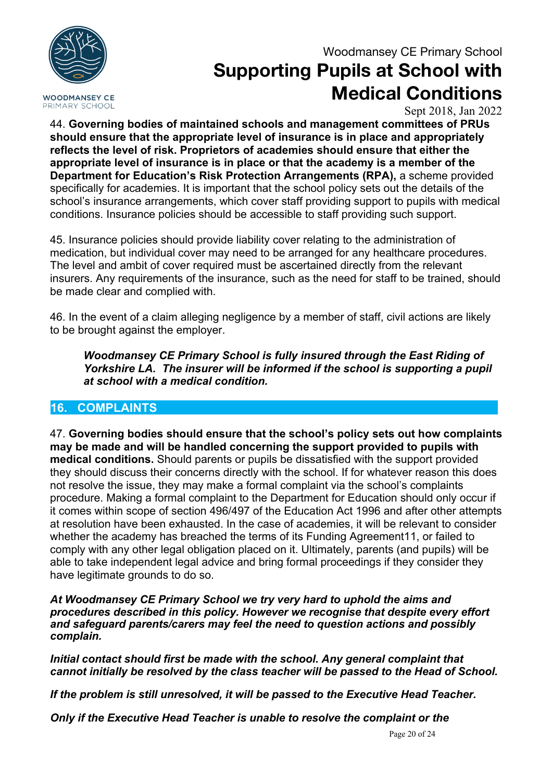**WOODMANSEY CE** PRIMARY SCHOOL

### Woodmansey CE Primary School

## **Supporting Pupils at School with Medical Conditions**

Sept 2018, Jan 2022

44. **Governing bodies of maintained schools and management committees of PRUs should ensure that the appropriate level of insurance is in place and appropriately reflects the level of risk. Proprietors of academies should ensure that either the appropriate level of insurance is in place or that the academy is a member of the Department for Education's Risk Protection Arrangements (RPA),** a scheme provided specifically for academies. It is important that the school policy sets out the details of the school's insurance arrangements, which cover staff providing support to pupils with medical conditions. Insurance policies should be accessible to staff providing such support.

45. Insurance policies should provide liability cover relating to the administration of medication, but individual cover may need to be arranged for any healthcare procedures. The level and ambit of cover required must be ascertained directly from the relevant insurers. Any requirements of the insurance, such as the need for staff to be trained, should be made clear and complied with.

46. In the event of a claim alleging negligence by a member of staff, civil actions are likely to be brought against the employer.

*Woodmansey CE Primary School is fully insured through the East Riding of Yorkshire LA. The insurer will be informed if the school is supporting a pupil at school with a medical condition.*

### **16. COMPLAINTS**

47. **Governing bodies should ensure that the school's policy sets out how complaints may be made and will be handled concerning the support provided to pupils with medical conditions.** Should parents or pupils be dissatisfied with the support provided they should discuss their concerns directly with the school. If for whatever reason this does not resolve the issue, they may make a formal complaint via the school's complaints procedure. Making a formal complaint to the Department for Education should only occur if it comes within scope of section 496/497 of the Education Act 1996 and after other attempts at resolution have been exhausted. In the case of academies, it will be relevant to consider whether the academy has breached the terms of its Funding Agreement11, or failed to comply with any other legal obligation placed on it. Ultimately, parents (and pupils) will be able to take independent legal advice and bring formal proceedings if they consider they have legitimate grounds to do so.

*At Woodmansey CE Primary School we try very hard to uphold the aims and procedures described in this policy. However we recognise that despite every effort and safeguard parents/carers may feel the need to question actions and possibly complain.* 

*Initial contact should first be made with the school. Any general complaint that cannot initially be resolved by the class teacher will be passed to the Head of School.*

*If the problem is still unresolved, it will be passed to the Executive Head Teacher.* 

*Only if the Executive Head Teacher is unable to resolve the complaint or the*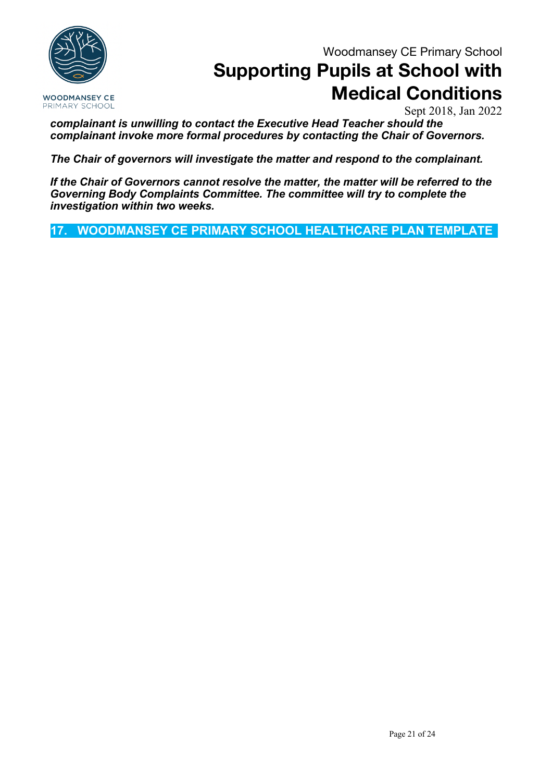**WOODMANSEY CE** PRIMARY SCHOOL

Woodmansey CE Primary School

# **Supporting Pupils at School with Medical Conditions**

Sept 2018, Jan 2022

*complainant is unwilling to contact the Executive Head Teacher should the complainant invoke more formal procedures by contacting the Chair of Governors.* 

*The Chair of governors will investigate the matter and respond to the complainant.* 

*If the Chair of Governors cannot resolve the matter, the matter will be referred to the Governing Body Complaints Committee. The committee will try to complete the investigation within two weeks.* 

**17. WOODMANSEY CE PRIMARY SCHOOL HEALTHCARE PLAN TEMPLATE**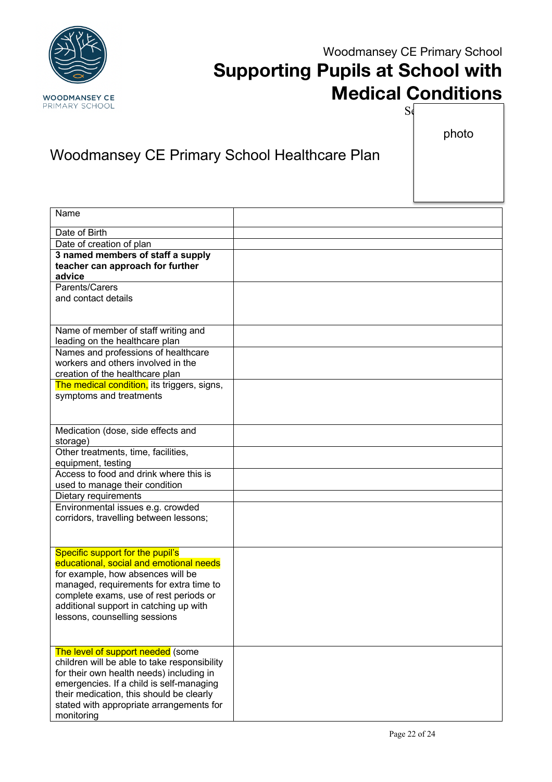

# **Supporting Pupils at School with Medical Conditions**

photo

 $S_{\mathfrak{q}}$ 

## Woodmansey CE Primary School Healthcare Plan

| Name                                                                                     |  |
|------------------------------------------------------------------------------------------|--|
| Date of Birth                                                                            |  |
| Date of creation of plan                                                                 |  |
| 3 named members of staff a supply                                                        |  |
| teacher can approach for further                                                         |  |
| advice                                                                                   |  |
| Parents/Carers                                                                           |  |
| and contact details                                                                      |  |
|                                                                                          |  |
| Name of member of staff writing and                                                      |  |
| leading on the healthcare plan                                                           |  |
| Names and professions of healthcare                                                      |  |
| workers and others involved in the                                                       |  |
| creation of the healthcare plan                                                          |  |
| The medical condition, its triggers, signs,                                              |  |
| symptoms and treatments                                                                  |  |
|                                                                                          |  |
|                                                                                          |  |
| Medication (dose, side effects and<br>storage)                                           |  |
| Other treatments, time, facilities,                                                      |  |
| equipment, testing                                                                       |  |
| Access to food and drink where this is                                                   |  |
| used to manage their condition                                                           |  |
| Dietary requirements                                                                     |  |
| Environmental issues e.g. crowded                                                        |  |
| corridors, travelling between lessons;                                                   |  |
|                                                                                          |  |
|                                                                                          |  |
| Specific support for the pupil's<br>educational, social and emotional needs              |  |
| for example, how absences will be                                                        |  |
| managed, requirements for extra time to                                                  |  |
| complete exams, use of rest periods or                                                   |  |
| additional support in catching up with                                                   |  |
| lessons, counselling sessions                                                            |  |
|                                                                                          |  |
|                                                                                          |  |
| The level of support needed (some                                                        |  |
| children will be able to take responsibility<br>for their own health needs) including in |  |
| emergencies. If a child is self-managing                                                 |  |
| their medication, this should be clearly                                                 |  |
| stated with appropriate arrangements for                                                 |  |
| monitoring                                                                               |  |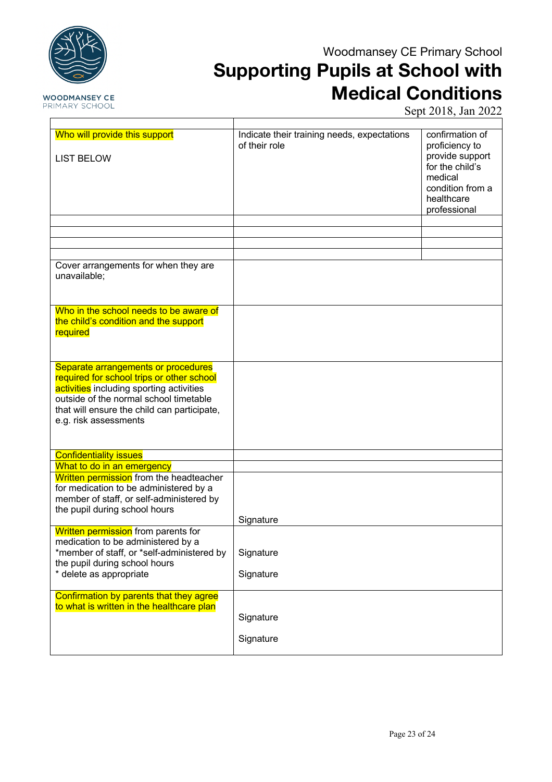

## **Supporting Pupils at School with Medical Conditions**

Sept 2018, Jan 2022

| Who will provide this support                                                                                                                                                                                                                  | Indicate their training needs, expectations<br>of their role | confirmation of<br>proficiency to              |
|------------------------------------------------------------------------------------------------------------------------------------------------------------------------------------------------------------------------------------------------|--------------------------------------------------------------|------------------------------------------------|
| <b>LIST BELOW</b>                                                                                                                                                                                                                              |                                                              | provide support<br>for the child's<br>medical  |
|                                                                                                                                                                                                                                                |                                                              | condition from a<br>healthcare<br>professional |
|                                                                                                                                                                                                                                                |                                                              |                                                |
|                                                                                                                                                                                                                                                |                                                              |                                                |
|                                                                                                                                                                                                                                                |                                                              |                                                |
|                                                                                                                                                                                                                                                |                                                              |                                                |
| Cover arrangements for when they are<br>unavailable;                                                                                                                                                                                           |                                                              |                                                |
| Who in the school needs to be aware of<br>the child's condition and the support<br>required                                                                                                                                                    |                                                              |                                                |
| Separate arrangements or procedures<br>required for school trips or other school<br>activities including sporting activities<br>outside of the normal school timetable<br>that will ensure the child can participate,<br>e.g. risk assessments |                                                              |                                                |
| <b>Confidentiality issues</b>                                                                                                                                                                                                                  |                                                              |                                                |
| What to do in an emergency                                                                                                                                                                                                                     |                                                              |                                                |
| Written permission from the headteacher<br>for medication to be administered by a<br>member of staff, or self-administered by<br>the pupil during school hours                                                                                 |                                                              |                                                |
|                                                                                                                                                                                                                                                | Signature                                                    |                                                |
| Written permission from parents for<br>medication to be administered by a                                                                                                                                                                      |                                                              |                                                |
| *member of staff, or *self-administered by                                                                                                                                                                                                     | Signature                                                    |                                                |
| the pupil during school hours<br>* delete as appropriate                                                                                                                                                                                       | Signature                                                    |                                                |
| Confirmation by parents that they agree<br>to what is written in the healthcare plan                                                                                                                                                           | Signature                                                    |                                                |
|                                                                                                                                                                                                                                                |                                                              |                                                |
|                                                                                                                                                                                                                                                | Signature                                                    |                                                |